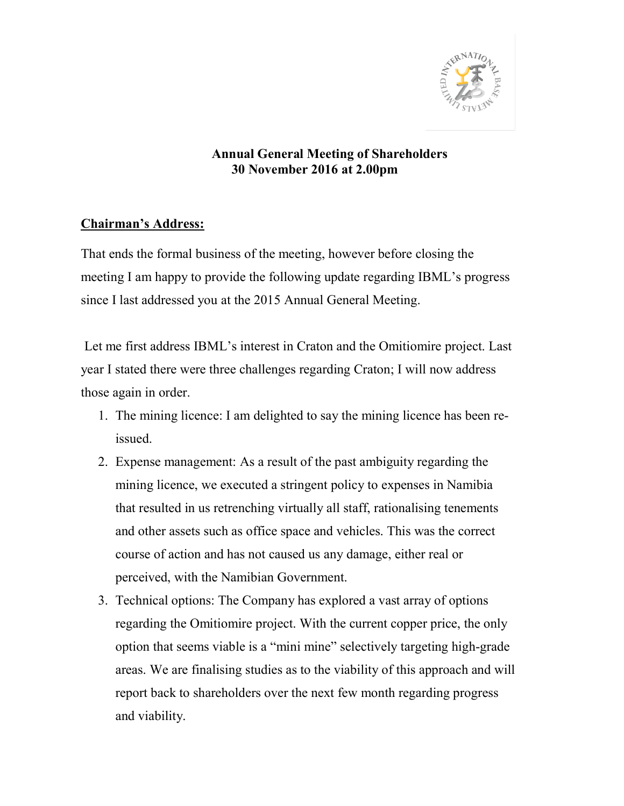

## Annual General Meeting of Shareholders 30 November 2016 at 2.00pm

## Chairman's Address:

That ends the formal business of the meeting, however before closing the meeting I am happy to provide the following update regarding IBML's progress since I last addressed you at the 2015 Annual General Meeting.

 Let me first address IBML's interest in Craton and the Omitiomire project. Last year I stated there were three challenges regarding Craton; I will now address those again in order.

- 1. The mining licence: I am delighted to say the mining licence has been reissued.
- 2. Expense management: As a result of the past ambiguity regarding the mining licence, we executed a stringent policy to expenses in Namibia that resulted in us retrenching virtually all staff, rationalising tenements and other assets such as office space and vehicles. This was the correct course of action and has not caused us any damage, either real or perceived, with the Namibian Government.
- 3. Technical options: The Company has explored a vast array of options regarding the Omitiomire project. With the current copper price, the only option that seems viable is a "mini mine" selectively targeting high-grade areas. We are finalising studies as to the viability of this approach and will report back to shareholders over the next few month regarding progress and viability.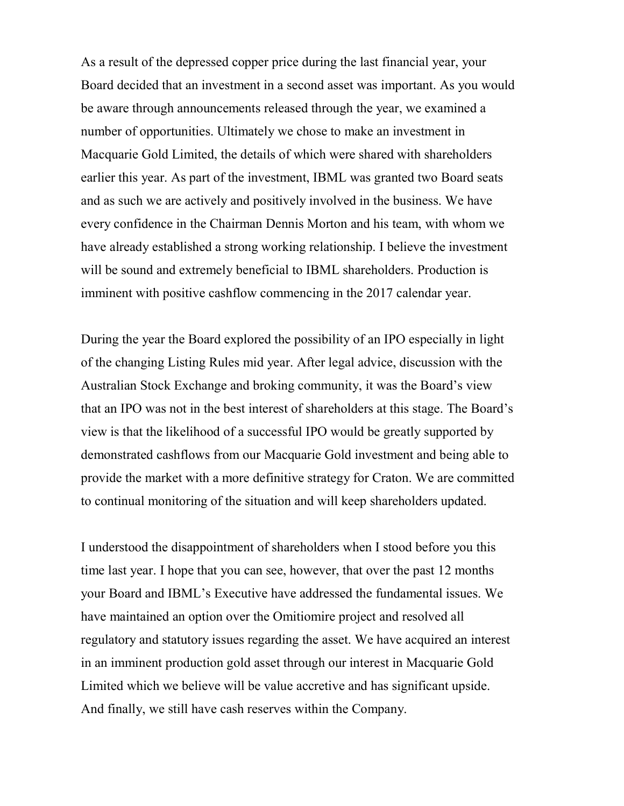As a result of the depressed copper price during the last financial year, your Board decided that an investment in a second asset was important. As you would be aware through announcements released through the year, we examined a number of opportunities. Ultimately we chose to make an investment in Macquarie Gold Limited, the details of which were shared with shareholders earlier this year. As part of the investment, IBML was granted two Board seats and as such we are actively and positively involved in the business. We have every confidence in the Chairman Dennis Morton and his team, with whom we have already established a strong working relationship. I believe the investment will be sound and extremely beneficial to IBML shareholders. Production is imminent with positive cashflow commencing in the 2017 calendar year.

During the year the Board explored the possibility of an IPO especially in light of the changing Listing Rules mid year. After legal advice, discussion with the Australian Stock Exchange and broking community, it was the Board's view that an IPO was not in the best interest of shareholders at this stage. The Board's view is that the likelihood of a successful IPO would be greatly supported by demonstrated cashflows from our Macquarie Gold investment and being able to provide the market with a more definitive strategy for Craton. We are committed to continual monitoring of the situation and will keep shareholders updated.

I understood the disappointment of shareholders when I stood before you this time last year. I hope that you can see, however, that over the past 12 months your Board and IBML's Executive have addressed the fundamental issues. We have maintained an option over the Omitiomire project and resolved all regulatory and statutory issues regarding the asset. We have acquired an interest in an imminent production gold asset through our interest in Macquarie Gold Limited which we believe will be value accretive and has significant upside. And finally, we still have cash reserves within the Company.